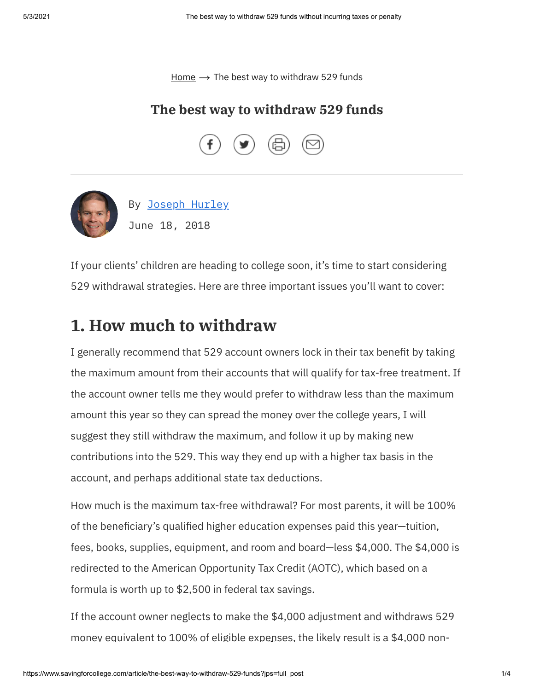[Home](https://www.savingforcollege.com/)  $\rightarrow$  The best way to withdraw 529 funds

#### **The best way to withdraw 529 funds**





If your clients' children are heading to college soon, it's time to start considering 529 withdrawal strategies. Here are three important issues you'll want to cover:

## **1. How much to withdraw**

I generally recommend that 529 account owners lock in their tax benefit by taking the maximum amount from their accounts that will qualify for tax-free treatment. If the account owner tells me they would prefer to withdraw less than the maximum amount this year so they can spread the money over the college years, I will suggest they still withdraw the maximum, and follow it up by making new contributions into the 529. This way they end up with a higher tax basis in the account, and perhaps additional state tax deductions.

How much is the maximum tax-free withdrawal? For most parents, it will be 100% of the beneficiary's qualified higher education expenses paid this year-tuition, fees, books, supplies, equipment, and room and board—less \$4,000. The \$4,000 is redirected to the American Opportunity Tax Credit (AOTC), which based on a formula is worth up to \$2,500 in federal tax savings.

If the account owner neglects to make the \$4,000 adjustment and withdraws 529 money equivalent to 100% of eligible expenses, the likely result is a \$4,000 non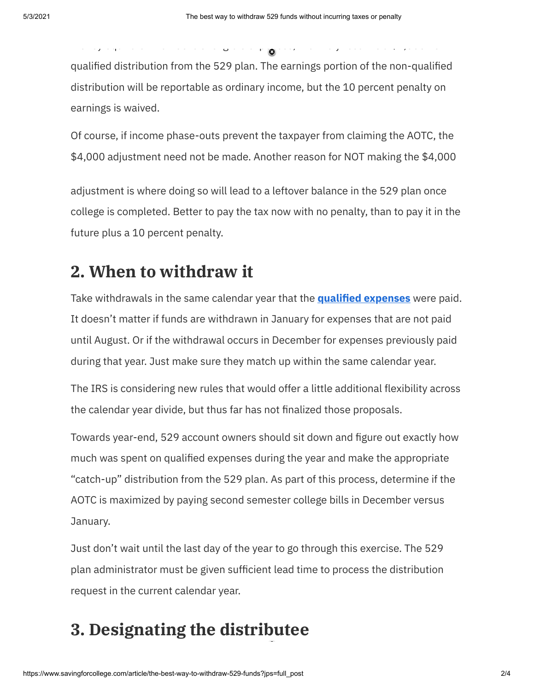o ey equ a e o 00% o e g b e e pe ses, e e y esu s a \$ ,000 o

qualified distribution from the 529 plan. The earnings portion of the non-qualified distribution will be reportable as ordinary income, but the 10 percent penalty on earnings is waived.

Of course, if income phase-outs prevent the taxpayer from claiming the AOTC, the \$4,000 adjustment need not be made. Another reason for NOT making the \$4,000

adjustment is where doing so will lead to a leftover balance in the 529 plan once college is completed. Better to pay the tax now with no penalty, than to pay it in the future plus a 10 percent penalty.

# **2. When to withdraw it**

Take withdrawals in the same calendar year that the **qualified expenses** were paid. It doesn't matter if funds are withdrawn in January for expenses that are not paid until August. Or if the withdrawal occurs in December for expenses previously paid during that year. Just make sure they match up within the same calendar year.

The IRS is considering new rules that would offer a little additional flexibility across the calendar year divide, but thus far has not finalized those proposals.

Towards year-end, 529 account owners should sit down and figure out exactly how much was spent on qualified expenses during the year and make the appropriate "catch-up" distribution from the 529 plan. As part of this process, determine if the AOTC is maximized by paying second semester college bills in December versus January.

Just don't wait until the last day of the year to go through this exercise. The 529 plan administrator must be given sufficient lead time to process the distribution request in the current calendar year.

# **3. Designating the distributee**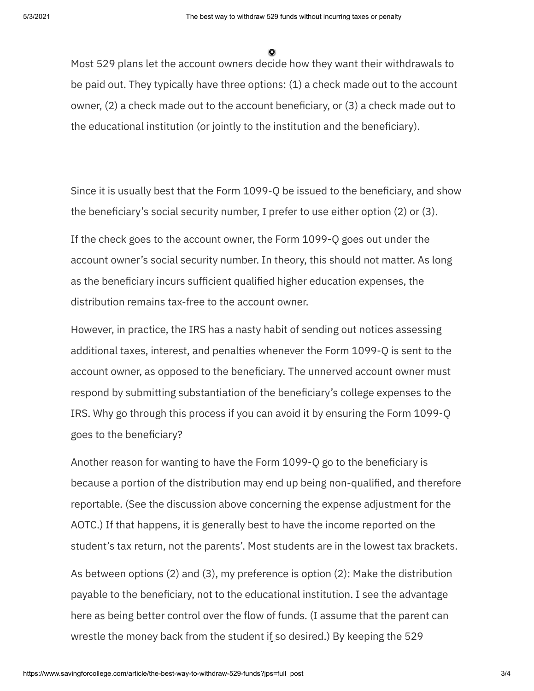Most 529 plans let the account owners decide how they want their withdrawals to be paid out. They typically have three options: (1) a check made out to the account owner,  $(2)$  a check made out to the account beneficiary, or  $(3)$  a check made out to the educational institution (or jointly to the institution and the beneficiary).

Since it is usually best that the Form 1099-O be issued to the beneficiary, and show the beneficiary's social security number, I prefer to use either option  $(2)$  or  $(3)$ .

If the check goes to the account owner, the Form 1099-Q goes out under the account owner's social security number. In theory, this should not matter. As long as the beneficiary incurs sufficient qualified higher education expenses, the distribution remains tax-free to the account owner.

However, in practice, the IRS has a nasty habit of sending out notices assessing additional taxes, interest, and penalties whenever the Form 1099-Q is sent to the account owner, as opposed to the beneficiary. The unnerved account owner must respond by submitting substantiation of the beneficiary's college expenses to the IRS. Why go through this process if you can avoid it by ensuring the Form 1099-Q goes to the beneficiary?

Another reason for wanting to have the Form 1099-Q go to the beneficiary is because a portion of the distribution may end up being non-qualified, and therefore reportable. (See the discussion above concerning the expense adjustment for the AOTC.) If that happens, it is generally best to have the income reported on the student's tax return, not the parents'. Most students are in the lowest tax brackets.

As between options (2) and (3), my preference is option (2): Make the distribution payable to the beneficiary, not to the educational institution. I see the advantage here as being better control over the flow of funds. (I assume that the parent can wrestle the money back from the student if so desired.) By keeping the 529